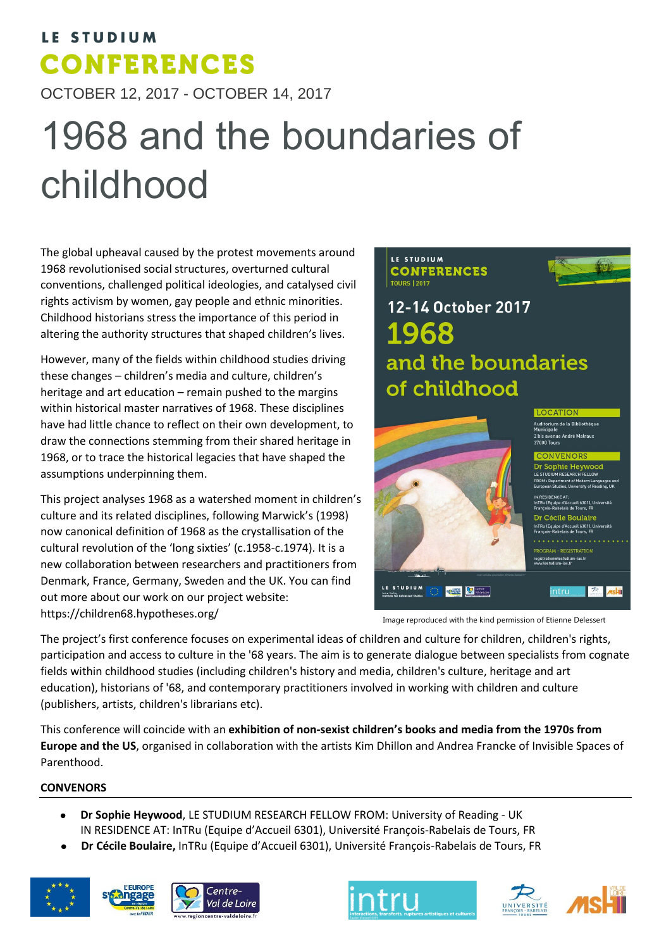## LE STUDIUM **CONFERENCES**

OCTOBER 12, 2017 - OCTOBER 14, 2017

# 1968 and the boundaries of childhood

The global upheaval caused by the protest movements around 1968 revolutionised social structures, overturned cultural conventions, challenged political ideologies, and catalysed civil rights activism by women, gay people and ethnic minorities. Childhood historians stress the importance of this period in altering the authority structures that shaped children's lives.

However, many of the fields within childhood studies driving these changes – children's media and culture, children's heritage and art education – remain pushed to the margins within historical master narratives of 1968. These disciplines have had little chance to reflect on their own development, to draw the connections stemming from their shared heritage in 1968, or to trace the historical legacies that have shaped the assumptions underpinning them.

This project analyses 1968 as a watershed moment in children's culture and its related disciplines, following Marwick's (1998) now canonical definition of 1968 as the crystallisation of the cultural revolution of the 'long sixties' (c.1958-c.1974). It is a new collaboration between researchers and practitioners from Denmark, France, Germany, Sweden and the UK. You can find out more about our work on our project website: https://children68.hypotheses.org/

#### LE STUDIUM **CONFERENCES TOURS 12017**



12-14 October 2017 1968 and the boundaries of childhood



.<br>Auditorium de la Bibliothèque<br>Municipale .<br>iue André Malrau:

**GRAM - REGISTRATION** -ias fi

> $\overline{\mathcal{P}}$ intru

Image reproduced with the kind permission of Etienne Delessert

The project's first conference focuses on experimental ideas of children and culture for children, children's rights, participation and access to culture in the '68 years. The aim is to generate dialogue between specialists from cognate fields within childhood studies (including children's history and media, children's culture, heritage and art education), historians of '68, and contemporary practitioners involved in working with children and culture (publishers, artists, children's librarians etc).

This conference will coincide with an **exhibition of non-sexist children's books and media from the 1970s from Europe and the US**, organised in collaboration with the artists Kim Dhillon and Andrea Francke of Invisible Spaces of Parenthood.

### **CONVENORS**

- **Dr Sophie Heywood**, LE STUDIUM RESEARCH FELLOW FROM: University of Reading UK IN RESIDENCE AT: InTRu (Equipe d'Accueil 6301), Université François-Rabelais de Tours, FR
- **Dr Cécile Boulaire,** InTRu (Equipe d'Accueil 6301), Université François-Rabelais de Tours, FR